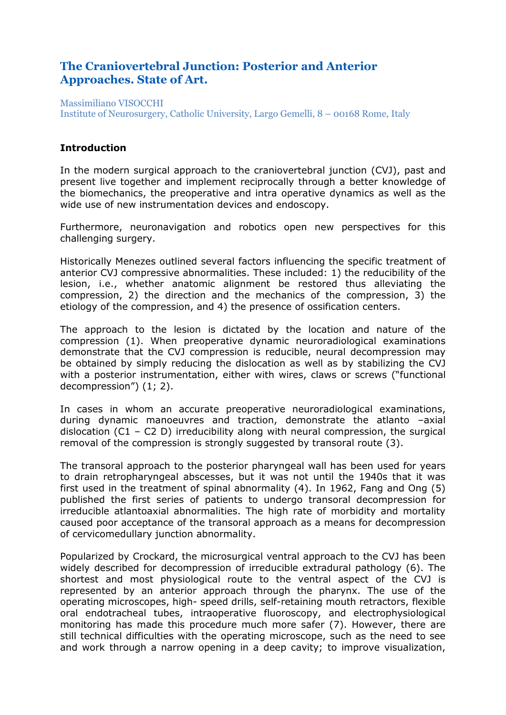# **The Craniovertebral Junction: Posterior and Anterior Approaches. State of Art.**

Massimiliano VISOCCHI Institute of Neurosurgery, Catholic University, Largo Gemelli, 8 – 00168 Rome, Italy

### **Introduction**

In the modern surgical approach to the craniovertebral junction (CVJ), past and present live together and implement reciprocally through a better knowledge of the biomechanics, the preoperative and intra operative dynamics as well as the wide use of new instrumentation devices and endoscopy.

Furthermore, neuronavigation and robotics open new perspectives for this challenging surgery.

Historically Menezes outlined several factors influencing the specific treatment of anterior CVJ compressive abnormalities. These included: 1) the reducibility of the lesion, i.e., whether anatomic alignment be restored thus alleviating the compression, 2) the direction and the mechanics of the compression, 3) the etiology of the compression, and 4) the presence of ossification centers.

The approach to the lesion is dictated by the location and nature of the compression (1). When preoperative dynamic neuroradiological examinations demonstrate that the CVJ compression is reducible, neural decompression may be obtained by simply reducing the dislocation as well as by stabilizing the CVJ with a posterior instrumentation, either with wires, claws or screws ("functional decompression") (1; 2).

In cases in whom an accurate preoperative neuroradiological examinations, during dynamic manoeuvres and traction, demonstrate the atlanto –axial dislocation (C1 – C2 D) irreducibility along with neural compression, the surgical removal of the compression is strongly suggested by transoral route (3).

The transoral approach to the posterior pharyngeal wall has been used for years to drain retropharyngeal abscesses, but it was not until the 1940s that it was first used in the treatment of spinal abnormality (4). In 1962, Fang and Ong (5) published the first series of patients to undergo transoral decompression for irreducible atlantoaxial abnormalities. The high rate of morbidity and mortality caused poor acceptance of the transoral approach as a means for decompression of cervicomedullary junction abnormality.

Popularized by Crockard, the microsurgical ventral approach to the CVJ has been widely described for decompression of irreducible extradural pathology (6). The shortest and most physiological route to the ventral aspect of the CVJ is represented by an anterior approach through the pharynx. The use of the operating microscopes, high- speed drills, self-retaining mouth retractors, flexible oral endotracheal tubes, intraoperative fluoroscopy, and electrophysiological monitoring has made this procedure much more safer (7). However, there are still technical difficulties with the operating microscope, such as the need to see and work through a narrow opening in a deep cavity; to improve visualization,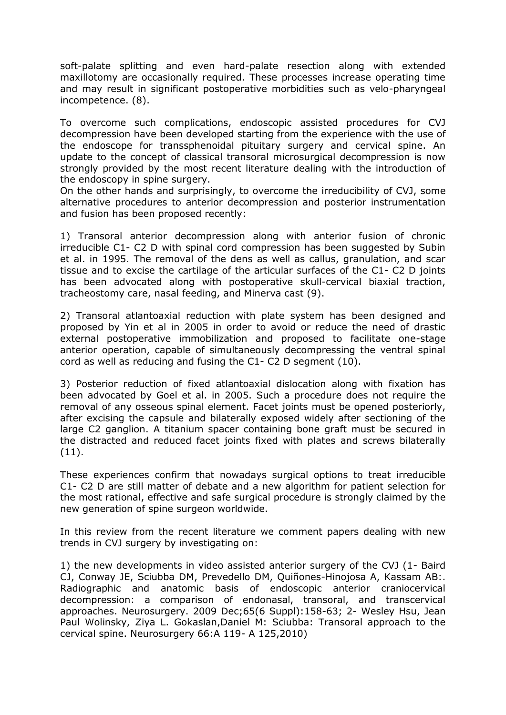soft-palate splitting and even hard-palate resection along with extended maxillotomy are occasionally required. These processes increase operating time and may result in significant postoperative morbidities such as velo-pharyngeal incompetence. (8).

To overcome such complications, endoscopic assisted procedures for CVJ decompression have been developed starting from the experience with the use of the endoscope for transsphenoidal pituitary surgery and cervical spine. An update to the concept of classical transoral microsurgical decompression is now strongly provided by the most recent literature dealing with the introduction of the endoscopy in spine surgery.

On the other hands and surprisingly, to overcome the irreducibility of CVJ, some alternative procedures to anterior decompression and posterior instrumentation and fusion has been proposed recently:

1) Transoral anterior decompression along with anterior fusion of chronic irreducible C1- C2 D with spinal cord compression has been suggested by Subin et al. in 1995. The removal of the dens as well as callus, granulation, and scar tissue and to excise the cartilage of the articular surfaces of the C1- C2 D joints has been advocated along with postoperative skull-cervical biaxial traction, tracheostomy care, nasal feeding, and Minerva cast (9).

2) Transoral atlantoaxial reduction with plate system has been designed and proposed by Yin et al in 2005 in order to avoid or reduce the need of drastic external postoperative immobilization and proposed to facilitate one-stage anterior operation, capable of simultaneously decompressing the ventral spinal cord as well as reducing and fusing the C1- C2 D segment (10).

3) Posterior reduction of fixed atlantoaxial dislocation along with fixation has been advocated by Goel et al. in 2005. Such a procedure does not require the removal of any osseous spinal element. Facet joints must be opened posteriorly, after excising the capsule and bilaterally exposed widely after sectioning of the large C2 ganglion. A titanium spacer containing bone graft must be secured in the distracted and reduced facet joints fixed with plates and screws bilaterally  $(11)$ .

These experiences confirm that nowadays surgical options to treat irreducible C1- C2 D are still matter of debate and a new algorithm for patient selection for the most rational, effective and safe surgical procedure is strongly claimed by the new generation of spine surgeon worldwide.

In this review from the recent literature we comment papers dealing with new trends in CVJ surgery by investigating on:

1) the new developments in video assisted anterior surgery of the CVJ (1- Baird CJ, Conway JE, Sciubba DM, Prevedello DM, Quiñones-Hinojosa A, Kassam AB:. Radiographic and anatomic basis of endoscopic anterior craniocervical decompression: a comparison of endonasal, transoral, and transcervical approaches. Neurosurgery. 2009 Dec;65(6 Suppl):158-63; 2- Wesley Hsu, Jean Paul Wolinsky, Ziya L. Gokaslan,Daniel M: Sciubba: Transoral approach to the cervical spine. Neurosurgery 66:A 119- A 125,2010)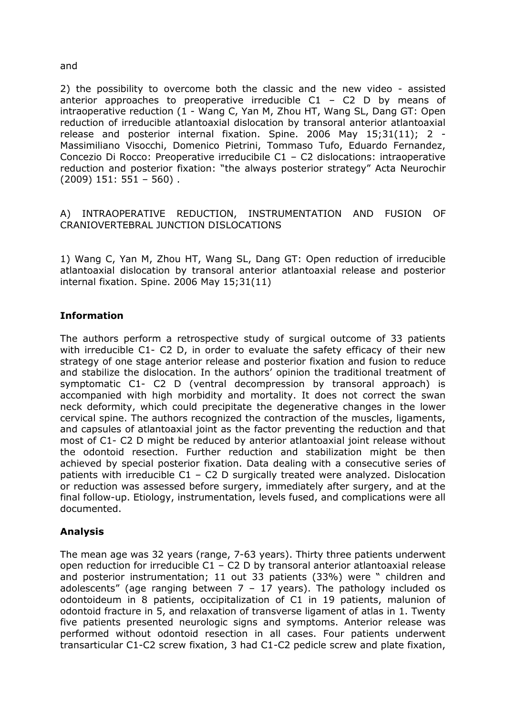#### and

2) the possibility to overcome both the classic and the new video - assisted anterior approaches to preoperative irreducible  $C1 - C2$  D by means of intraoperative reduction (1 - Wang C, Yan M, Zhou HT, Wang SL, Dang GT: Open reduction of irreducible atlantoaxial dislocation by transoral anterior atlantoaxial release and posterior internal fixation. Spine. 2006 May 15;31(11); 2 - Massimiliano Visocchi, Domenico Pietrini, Tommaso Tufo, Eduardo Fernandez, Concezio Di Rocco: Preoperative irreducibile C1 – C2 dislocations: intraoperative reduction and posterior fixation: "the always posterior strategy" Acta Neurochir  $(2009)$  151: 551 - 560).

### A) INTRAOPERATIVE REDUCTION, INSTRUMENTATION AND FUSION OF CRANIOVERTEBRAL JUNCTION DISLOCATIONS

1) Wang C, Yan M, Zhou HT, Wang SL, Dang GT: Open reduction of irreducible atlantoaxial dislocation by transoral anterior atlantoaxial release and posterior internal fixation. Spine. 2006 May 15;31(11)

### **Information**

The authors perform a retrospective study of surgical outcome of 33 patients with irreducible C1- C2 D, in order to evaluate the safety efficacy of their new strategy of one stage anterior release and posterior fixation and fusion to reduce and stabilize the dislocation. In the authors' opinion the traditional treatment of symptomatic C1- C2 D (ventral decompression by transoral approach) is accompanied with high morbidity and mortality. It does not correct the swan neck deformity, which could precipitate the degenerative changes in the lower cervical spine. The authors recognized the contraction of the muscles, ligaments, and capsules of atlantoaxial joint as the factor preventing the reduction and that most of C1- C2 D might be reduced by anterior atlantoaxial joint release without the odontoid resection. Further reduction and stabilization might be then achieved by special posterior fixation. Data dealing with a consecutive series of patients with irreducible C1 – C2 D surgically treated were analyzed. Dislocation or reduction was assessed before surgery, immediately after surgery, and at the final follow-up. Etiology, instrumentation, levels fused, and complications were all documented.

### **Analysis**

The mean age was 32 years (range, 7-63 years). Thirty three patients underwent open reduction for irreducible C1 – C2 D by transoral anterior atlantoaxial release and posterior instrumentation; 11 out 33 patients (33%) were " children and adolescents" (age ranging between  $7 - 17$  years). The pathology included os odontoideum in 8 patients, occipitalization of C1 in 19 patients, malunion of odontoid fracture in 5, and relaxation of transverse ligament of atlas in 1. Twenty five patients presented neurologic signs and symptoms. Anterior release was performed without odontoid resection in all cases. Four patients underwent transarticular C1-C2 screw fixation, 3 had C1-C2 pedicle screw and plate fixation,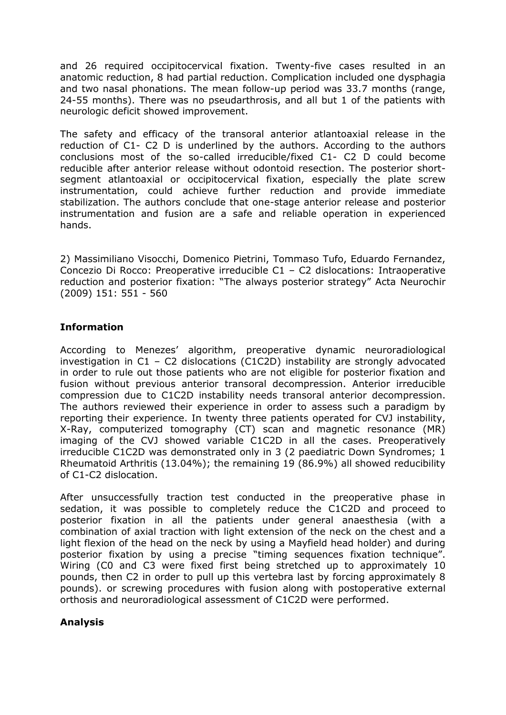and 26 required occipitocervical fixation. Twenty-five cases resulted in an anatomic reduction, 8 had partial reduction. Complication included one dysphagia and two nasal phonations. The mean follow-up period was 33.7 months (range, 24-55 months). There was no pseudarthrosis, and all but 1 of the patients with neurologic deficit showed improvement.

The safety and efficacy of the transoral anterior atlantoaxial release in the reduction of C1- C2 D is underlined by the authors. According to the authors conclusions most of the so-called irreducible/fixed C1- C2 D could become reducible after anterior release without odontoid resection. The posterior shortsegment atlantoaxial or occipitocervical fixation, especially the plate screw instrumentation, could achieve further reduction and provide immediate stabilization. The authors conclude that one-stage anterior release and posterior instrumentation and fusion are a safe and reliable operation in experienced hands.

2) Massimiliano Visocchi, Domenico Pietrini, Tommaso Tufo, Eduardo Fernandez, Concezio Di Rocco: Preoperative irreducible C1 – C2 dislocations: Intraoperative reduction and posterior fixation: "The always posterior strategy" Acta Neurochir (2009) 151: 551 - 560

## **Information**

According to Menezes' algorithm, preoperative dynamic neuroradiological investigation in C1 – C2 dislocations (C1C2D) instability are strongly advocated in order to rule out those patients who are not eligible for posterior fixation and fusion without previous anterior transoral decompression. Anterior irreducible compression due to C1C2D instability needs transoral anterior decompression. The authors reviewed their experience in order to assess such a paradigm by reporting their experience. In twenty three patients operated for CVJ instability, X-Ray, computerized tomography (CT) scan and magnetic resonance (MR) imaging of the CVJ showed variable C1C2D in all the cases. Preoperatively irreducible C1C2D was demonstrated only in 3 (2 paediatric Down Syndromes; 1 Rheumatoid Arthritis (13.04%); the remaining 19 (86.9%) all showed reducibility of C1-C2 dislocation.

After unsuccessfully traction test conducted in the preoperative phase in sedation, it was possible to completely reduce the C1C2D and proceed to posterior fixation in all the patients under general anaesthesia (with a combination of axial traction with light extension of the neck on the chest and a light flexion of the head on the neck by using a Mayfield head holder) and during posterior fixation by using a precise "timing sequences fixation technique". Wiring (C0 and C3 were fixed first being stretched up to approximately 10 pounds, then C2 in order to pull up this vertebra last by forcing approximately 8 pounds). or screwing procedures with fusion along with postoperative external orthosis and neuroradiological assessment of C1C2D were performed.

### **Analysis**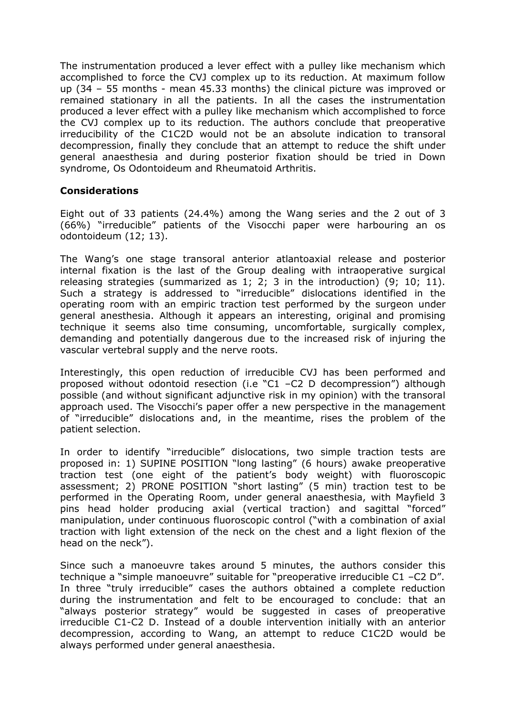The instrumentation produced a lever effect with a pulley like mechanism which accomplished to force the CVJ complex up to its reduction. At maximum follow up (34 – 55 months - mean 45.33 months) the clinical picture was improved or remained stationary in all the patients. In all the cases the instrumentation produced a lever effect with a pulley like mechanism which accomplished to force the CVJ complex up to its reduction. The authors conclude that preoperative irreducibility of the C1C2D would not be an absolute indication to transoral decompression, finally they conclude that an attempt to reduce the shift under general anaesthesia and during posterior fixation should be tried in Down syndrome, Os Odontoideum and Rheumatoid Arthritis.

#### **Considerations**

Eight out of 33 patients (24.4%) among the Wang series and the 2 out of 3 (66%) "irreducible" patients of the Visocchi paper were harbouring an os odontoideum (12; 13).

The Wang's one stage transoral anterior atlantoaxial release and posterior internal fixation is the last of the Group dealing with intraoperative surgical releasing strategies (summarized as 1; 2; 3 in the introduction) (9; 10; 11). Such a strategy is addressed to "irreducible" dislocations identified in the operating room with an empiric traction test performed by the surgeon under general anesthesia. Although it appears an interesting, original and promising technique it seems also time consuming, uncomfortable, surgically complex, demanding and potentially dangerous due to the increased risk of injuring the vascular vertebral supply and the nerve roots.

Interestingly, this open reduction of irreducible CVJ has been performed and proposed without odontoid resection (i.e "C1 –C2 D decompression") although possible (and without significant adjunctive risk in my opinion) with the transoral approach used. The Visocchi's paper offer a new perspective in the management of "irreducible" dislocations and, in the meantime, rises the problem of the patient selection.

In order to identify "irreducible" dislocations, two simple traction tests are proposed in: 1) SUPINE POSITION "long lasting" (6 hours) awake preoperative traction test (one eight of the patient's body weight) with fluoroscopic assessment; 2) PRONE POSITION "short lasting" (5 min) traction test to be performed in the Operating Room, under general anaesthesia, with Mayfield 3 pins head holder producing axial (vertical traction) and sagittal "forced" manipulation, under continuous fluoroscopic control ("with a combination of axial traction with light extension of the neck on the chest and a light flexion of the head on the neck").

Since such a manoeuvre takes around 5 minutes, the authors consider this technique a "simple manoeuvre" suitable for "preoperative irreducible C1 –C2 D". In three "truly irreducible" cases the authors obtained a complete reduction during the instrumentation and felt to be encouraged to conclude: that an "always posterior strategy" would be suggested in cases of preoperative irreducible C1-C2 D. Instead of a double intervention initially with an anterior decompression, according to Wang, an attempt to reduce C1C2D would be always performed under general anaesthesia.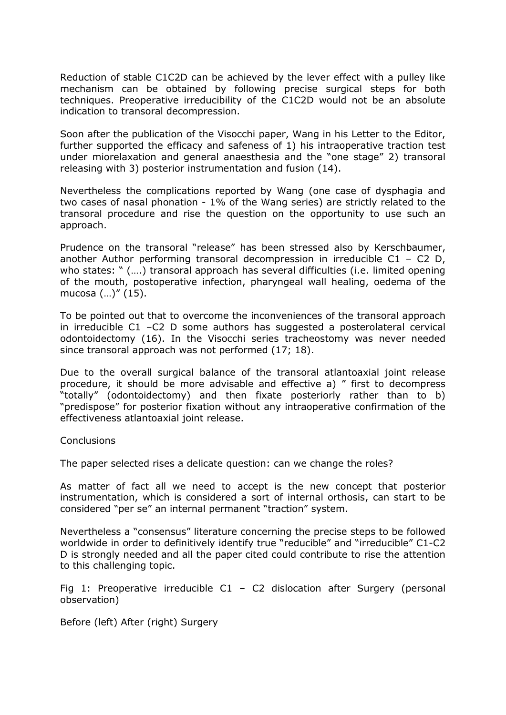Reduction of stable C1C2D can be achieved by the lever effect with a pulley like mechanism can be obtained by following precise surgical steps for both techniques. Preoperative irreducibility of the C1C2D would not be an absolute indication to transoral decompression.

Soon after the publication of the Visocchi paper, Wang in his Letter to the Editor, further supported the efficacy and safeness of 1) his intraoperative traction test under miorelaxation and general anaesthesia and the "one stage" 2) transoral releasing with 3) posterior instrumentation and fusion (14).

Nevertheless the complications reported by Wang (one case of dysphagia and two cases of nasal phonation - 1% of the Wang series) are strictly related to the transoral procedure and rise the question on the opportunity to use such an approach.

Prudence on the transoral "release" has been stressed also by Kerschbaumer, another Author performing transoral decompression in irreducible C1 – C2 D, who states: " (….) transoral approach has several difficulties (i.e. limited opening of the mouth, postoperative infection, pharyngeal wall healing, oedema of the mucosa (…)" (15).

To be pointed out that to overcome the inconveniences of the transoral approach in irreducible C1 –C2 D some authors has suggested a posterolateral cervical odontoidectomy (16). In the Visocchi series tracheostomy was never needed since transoral approach was not performed (17; 18).

Due to the overall surgical balance of the transoral atlantoaxial joint release procedure, it should be more advisable and effective a) " first to decompress "totally" (odontoidectomy) and then fixate posteriorly rather than to b) "predispose" for posterior fixation without any intraoperative confirmation of the effectiveness atlantoaxial joint release.

**Conclusions** 

The paper selected rises a delicate question: can we change the roles?

As matter of fact all we need to accept is the new concept that posterior instrumentation, which is considered a sort of internal orthosis, can start to be considered "per se" an internal permanent "traction" system.

Nevertheless a "consensus" literature concerning the precise steps to be followed worldwide in order to definitively identify true "reducible" and "irreducible" C1-C2 D is strongly needed and all the paper cited could contribute to rise the attention to this challenging topic.

Fig 1: Preoperative irreducible  $C1 - C2$  dislocation after Surgery (personal observation)

Before (left) After (right) Surgery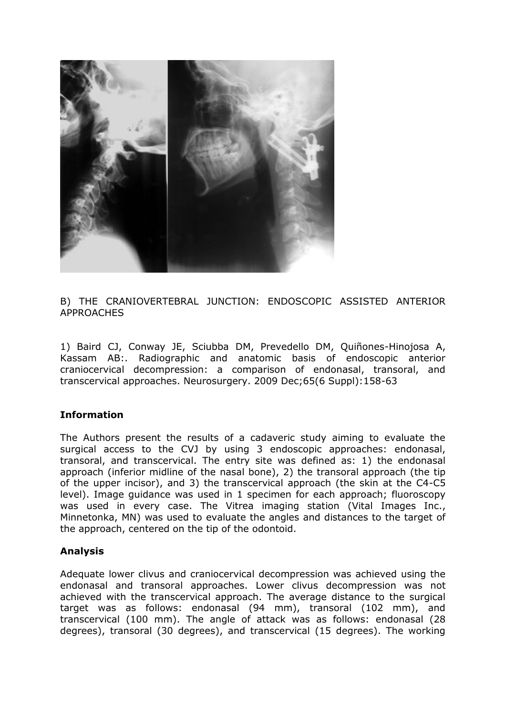

B) THE CRANIOVERTEBRAL JUNCTION: ENDOSCOPIC ASSISTED ANTERIOR APPROACHES

1) Baird CJ, Conway JE, Sciubba DM, Prevedello DM, Quiñones-Hinojosa A, Kassam AB:. Radiographic and anatomic basis of endoscopic anterior craniocervical decompression: a comparison of endonasal, transoral, and transcervical approaches. Neurosurgery. 2009 Dec;65(6 Suppl):158-63

### **Information**

The Authors present the results of a cadaveric study aiming to evaluate the surgical access to the CVJ by using 3 endoscopic approaches: endonasal, transoral, and transcervical. The entry site was defined as: 1) the endonasal approach (inferior midline of the nasal bone), 2) the transoral approach (the tip of the upper incisor), and 3) the transcervical approach (the skin at the C4-C5 level). Image guidance was used in 1 specimen for each approach; fluoroscopy was used in every case. The Vitrea imaging station (Vital Images Inc., Minnetonka, MN) was used to evaluate the angles and distances to the target of the approach, centered on the tip of the odontoid.

### **Analysis**

Adequate lower clivus and craniocervical decompression was achieved using the endonasal and transoral approaches. Lower clivus decompression was not achieved with the transcervical approach. The average distance to the surgical target was as follows: endonasal (94 mm), transoral (102 mm), and transcervical (100 mm). The angle of attack was as follows: endonasal (28 degrees), transoral (30 degrees), and transcervical (15 degrees). The working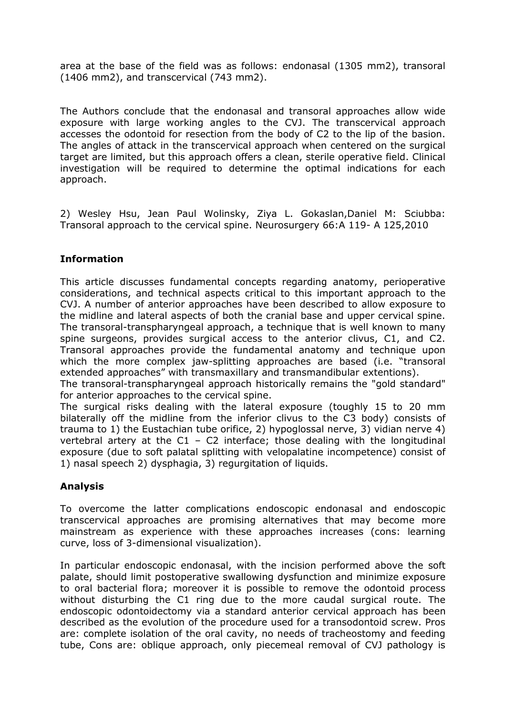area at the base of the field was as follows: endonasal (1305 mm2), transoral (1406 mm2), and transcervical (743 mm2).

The Authors conclude that the endonasal and transoral approaches allow wide exposure with large working angles to the CVJ. The transcervical approach accesses the odontoid for resection from the body of C2 to the lip of the basion. The angles of attack in the transcervical approach when centered on the surgical target are limited, but this approach offers a clean, sterile operative field. Clinical investigation will be required to determine the optimal indications for each approach.

2) Wesley Hsu, Jean Paul Wolinsky, Ziya L. Gokaslan,Daniel M: Sciubba: Transoral approach to the cervical spine. Neurosurgery 66:A 119- A 125,2010

## **Information**

This article discusses fundamental concepts regarding anatomy, perioperative considerations, and technical aspects critical to this important approach to the CVJ. A number of anterior approaches have been described to allow exposure to the midline and lateral aspects of both the cranial base and upper cervical spine. The transoral-transpharyngeal approach, a technique that is well known to many spine surgeons, provides surgical access to the anterior clivus, C1, and C2. Transoral approaches provide the fundamental anatomy and technique upon which the more complex jaw-splitting approaches are based (i.e. "transoral extended approaches" with transmaxillary and transmandibular extentions).

The transoral-transpharyngeal approach historically remains the "gold standard" for anterior approaches to the cervical spine.

The surgical risks dealing with the lateral exposure (toughly 15 to 20 mm bilaterally off the midline from the inferior clivus to the C3 body) consists of trauma to 1) the Eustachian tube orifice, 2) hypoglossal nerve, 3) vidian nerve 4) vertebral artery at the  $C1 - C2$  interface; those dealing with the longitudinal exposure (due to soft palatal splitting with velopalatine incompetence) consist of 1) nasal speech 2) dysphagia, 3) regurgitation of liquids.

## **Analysis**

To overcome the latter complications endoscopic endonasal and endoscopic transcervical approaches are promising alternatives that may become more mainstream as experience with these approaches increases (cons: learning curve, loss of 3-dimensional visualization).

In particular endoscopic endonasal, with the incision performed above the soft palate, should limit postoperative swallowing dysfunction and minimize exposure to oral bacterial flora; moreover it is possible to remove the odontoid process without disturbing the C1 ring due to the more caudal surgical route. The endoscopic odontoidectomy via a standard anterior cervical approach has been described as the evolution of the procedure used for a transodontoid screw. Pros are: complete isolation of the oral cavity, no needs of tracheostomy and feeding tube, Cons are: oblique approach, only piecemeal removal of CVJ pathology is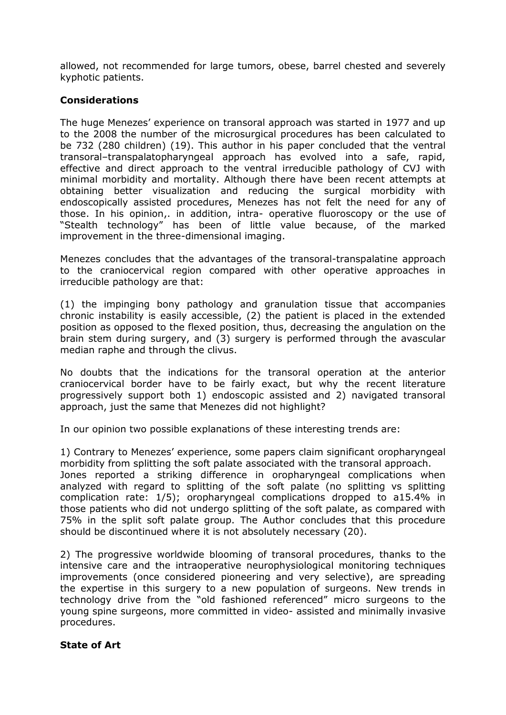allowed, not recommended for large tumors, obese, barrel chested and severely kyphotic patients.

### **Considerations**

The huge Menezes' experience on transoral approach was started in 1977 and up to the 2008 the number of the microsurgical procedures has been calculated to be 732 (280 children) (19). This author in his paper concluded that the ventral transoral–transpalatopharyngeal approach has evolved into a safe, rapid, effective and direct approach to the ventral irreducible pathology of CVJ with minimal morbidity and mortality. Although there have been recent attempts at obtaining better visualization and reducing the surgical morbidity with endoscopically assisted procedures, Menezes has not felt the need for any of those. In his opinion,. in addition, intra- operative fluoroscopy or the use of "Stealth technology" has been of little value because, of the marked improvement in the three-dimensional imaging.

Menezes concludes that the advantages of the transoral-transpalatine approach to the craniocervical region compared with other operative approaches in irreducible pathology are that:

(1) the impinging bony pathology and granulation tissue that accompanies chronic instability is easily accessible, (2) the patient is placed in the extended position as opposed to the flexed position, thus, decreasing the angulation on the brain stem during surgery, and (3) surgery is performed through the avascular median raphe and through the clivus.

No doubts that the indications for the transoral operation at the anterior craniocervical border have to be fairly exact, but why the recent literature progressively support both 1) endoscopic assisted and 2) navigated transoral approach, just the same that Menezes did not highlight?

In our opinion two possible explanations of these interesting trends are:

1) Contrary to Menezes' experience, some papers claim significant oropharyngeal morbidity from splitting the soft palate associated with the transoral approach. Jones reported a striking difference in oropharyngeal complications when

analyzed with regard to splitting of the soft palate (no splitting vs splitting complication rate: 1/5); oropharyngeal complications dropped to a15.4% in those patients who did not undergo splitting of the soft palate, as compared with 75% in the split soft palate group. The Author concludes that this procedure should be discontinued where it is not absolutely necessary (20).

2) The progressive worldwide blooming of transoral procedures, thanks to the intensive care and the intraoperative neurophysiological monitoring techniques improvements (once considered pioneering and very selective), are spreading the expertise in this surgery to a new population of surgeons. New trends in technology drive from the "old fashioned referenced" micro surgeons to the young spine surgeons, more committed in video- assisted and minimally invasive procedures.

### **State of Art**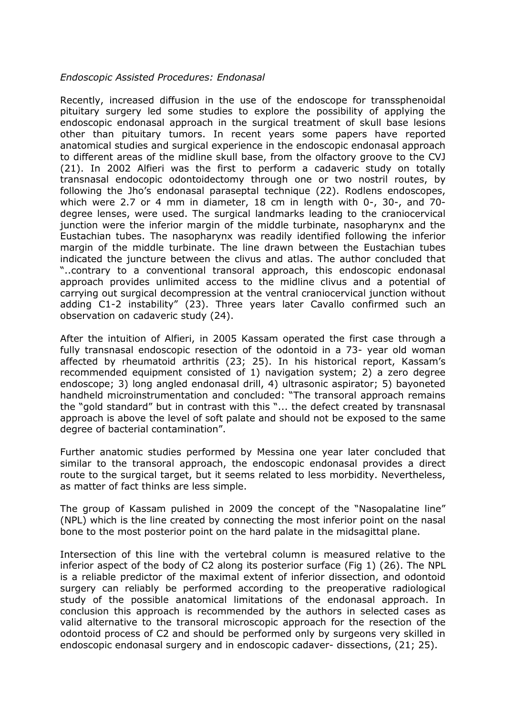#### *Endoscopic Assisted Procedures: Endonasal*

Recently, increased diffusion in the use of the endoscope for transsphenoidal pituitary surgery led some studies to explore the possibility of applying the endoscopic endonasal approach in the surgical treatment of skull base lesions other than pituitary tumors. In recent years some papers have reported anatomical studies and surgical experience in the endoscopic endonasal approach to different areas of the midline skull base, from the olfactory groove to the CVJ (21). In 2002 Alfieri was the first to perform a cadaveric study on totally transnasal endocopic odontoidectomy through one or two nostril routes, by following the Jho's endonasal paraseptal technique (22). Rodlens endoscopes, which were 2.7 or 4 mm in diameter, 18 cm in length with 0-, 30-, and 70 degree lenses, were used. The surgical landmarks leading to the craniocervical junction were the inferior margin of the middle turbinate, nasopharynx and the Eustachian tubes. The nasopharynx was readily identified following the inferior margin of the middle turbinate. The line drawn between the Eustachian tubes indicated the juncture between the clivus and atlas. The author concluded that "..contrary to a conventional transoral approach, this endoscopic endonasal approach provides unlimited access to the midline clivus and a potential of carrying out surgical decompression at the ventral craniocervical junction without adding C1-2 instability" (23). Three years later Cavallo confirmed such an observation on cadaveric study (24).

After the intuition of Alfieri, in 2005 Kassam operated the first case through a fully transnasal endoscopic resection of the odontoid in a 73- year old woman affected by rheumatoid arthritis (23; 25). In his historical report, Kassam's recommended equipment consisted of 1) navigation system; 2) a zero degree endoscope; 3) long angled endonasal drill, 4) ultrasonic aspirator; 5) bayoneted handheld microinstrumentation and concluded: "The transoral approach remains the "gold standard" but in contrast with this "... the defect created by transnasal approach is above the level of soft palate and should not be exposed to the same degree of bacterial contamination".

Further anatomic studies performed by Messina one year later concluded that similar to the transoral approach, the endoscopic endonasal provides a direct route to the surgical target, but it seems related to less morbidity. Nevertheless, as matter of fact thinks are less simple.

The group of Kassam pulished in 2009 the concept of the "Nasopalatine line" (NPL) which is the line created by connecting the most inferior point on the nasal bone to the most posterior point on the hard palate in the midsagittal plane.

Intersection of this line with the vertebral column is measured relative to the inferior aspect of the body of C2 along its posterior surface (Fig 1) (26). The NPL is a reliable predictor of the maximal extent of inferior dissection, and odontoid surgery can reliably be performed according to the preoperative radiological study of the possible anatomical limitations of the endonasal approach. In conclusion this approach is recommended by the authors in selected cases as valid alternative to the transoral microscopic approach for the resection of the odontoid process of C2 and should be performed only by surgeons very skilled in endoscopic endonasal surgery and in endoscopic cadaver- dissections, (21; 25).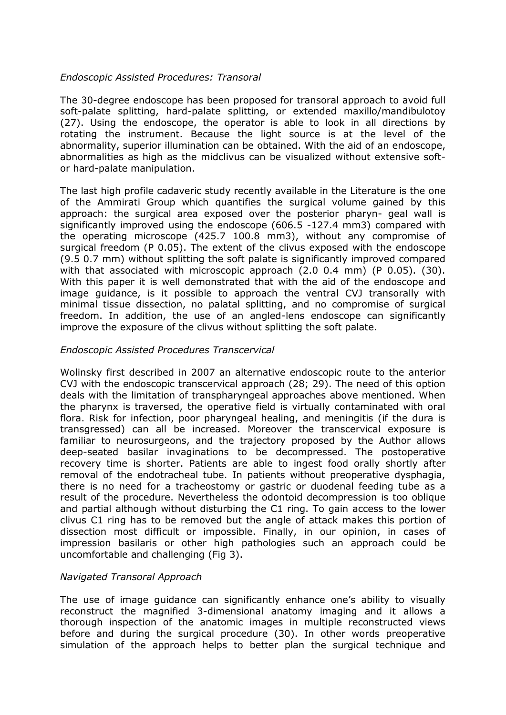### *Endoscopic Assisted Procedures: Transoral*

The 30-degree endoscope has been proposed for transoral approach to avoid full soft-palate splitting, hard-palate splitting, or extended maxillo/mandibulotoy (27). Using the endoscope, the operator is able to look in all directions by rotating the instrument. Because the light source is at the level of the abnormality, superior illumination can be obtained. With the aid of an endoscope, abnormalities as high as the midclivus can be visualized without extensive softor hard-palate manipulation.

The last high profile cadaveric study recently available in the Literature is the one of the Ammirati Group which quantifies the surgical volume gained by this approach: the surgical area exposed over the posterior pharyn- geal wall is significantly improved using the endoscope (606.5 -127.4 mm3) compared with the operating microscope (425.7 100.8 mm3), without any compromise of surgical freedom (P 0.05). The extent of the clivus exposed with the endoscope (9.5 0.7 mm) without splitting the soft palate is significantly improved compared with that associated with microscopic approach (2.0 0.4 mm) (P 0.05). (30). With this paper it is well demonstrated that with the aid of the endoscope and image guidance, is it possible to approach the ventral CVJ transorally with minimal tissue dissection, no palatal splitting, and no compromise of surgical freedom. In addition, the use of an angled-lens endoscope can significantly improve the exposure of the clivus without splitting the soft palate.

### *Endoscopic Assisted Procedures Transcervical*

Wolinsky first described in 2007 an alternative endoscopic route to the anterior CVJ with the endoscopic transcervical approach (28; 29). The need of this option deals with the limitation of transpharyngeal approaches above mentioned. When the pharynx is traversed, the operative field is virtually contaminated with oral flora. Risk for infection, poor pharyngeal healing, and meningitis (if the dura is transgressed) can all be increased. Moreover the transcervical exposure is familiar to neurosurgeons, and the trajectory proposed by the Author allows deep-seated basilar invaginations to be decompressed. The postoperative recovery time is shorter. Patients are able to ingest food orally shortly after removal of the endotracheal tube. In patients without preoperative dysphagia, there is no need for a tracheostomy or gastric or duodenal feeding tube as a result of the procedure. Nevertheless the odontoid decompression is too oblique and partial although without disturbing the C1 ring. To gain access to the lower clivus C1 ring has to be removed but the angle of attack makes this portion of dissection most difficult or impossible. Finally, in our opinion, in cases of impression basilaris or other high pathologies such an approach could be uncomfortable and challenging (Fig 3).

### *Navigated Transoral Approach*

The use of image guidance can significantly enhance one's ability to visually reconstruct the magnified 3-dimensional anatomy imaging and it allows a thorough inspection of the anatomic images in multiple reconstructed views before and during the surgical procedure (30). In other words preoperative simulation of the approach helps to better plan the surgical technique and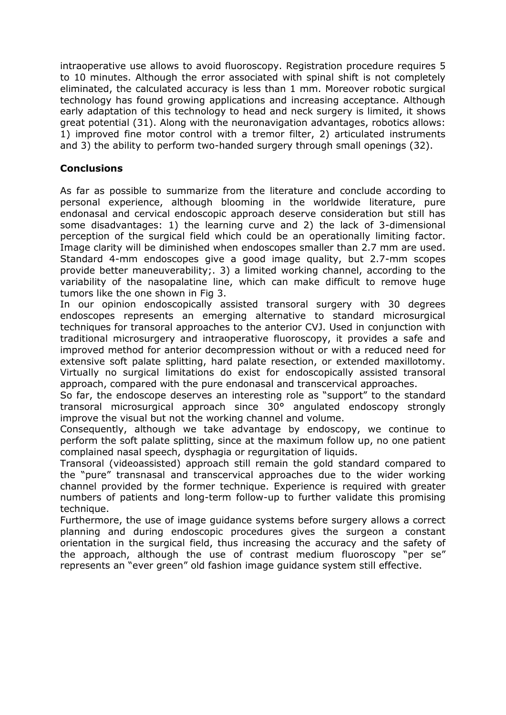intraoperative use allows to avoid fluoroscopy. Registration procedure requires 5 to 10 minutes. Although the error associated with spinal shift is not completely eliminated, the calculated accuracy is less than 1 mm. Moreover robotic surgical technology has found growing applications and increasing acceptance. Although early adaptation of this technology to head and neck surgery is limited, it shows great potential (31). Along with the neuronavigation advantages, robotics allows: 1) improved fine motor control with a tremor filter, 2) articulated instruments and 3) the ability to perform two-handed surgery through small openings (32).

## **Conclusions**

As far as possible to summarize from the literature and conclude according to personal experience, although blooming in the worldwide literature, pure endonasal and cervical endoscopic approach deserve consideration but still has some disadvantages: 1) the learning curve and 2) the lack of 3-dimensional perception of the surgical field which could be an operationally limiting factor. Image clarity will be diminished when endoscopes smaller than 2.7 mm are used. Standard 4-mm endoscopes give a good image quality, but 2.7-mm scopes provide better maneuverability;. 3) a limited working channel, according to the variability of the nasopalatine line, which can make difficult to remove huge tumors like the one shown in Fig 3.

In our opinion endoscopically assisted transoral surgery with 30 degrees endoscopes represents an emerging alternative to standard microsurgical techniques for transoral approaches to the anterior CVJ. Used in conjunction with traditional microsurgery and intraoperative fluoroscopy, it provides a safe and improved method for anterior decompression without or with a reduced need for extensive soft palate splitting, hard palate resection, or extended maxillotomy. Virtually no surgical limitations do exist for endoscopically assisted transoral approach, compared with the pure endonasal and transcervical approaches.

So far, the endoscope deserves an interesting role as "support" to the standard transoral microsurgical approach since 30° angulated endoscopy strongly improve the visual but not the working channel and volume.

Consequently, although we take advantage by endoscopy, we continue to perform the soft palate splitting, since at the maximum follow up, no one patient complained nasal speech, dysphagia or regurgitation of liquids.

Transoral (videoassisted) approach still remain the gold standard compared to the "pure" transnasal and transcervical approaches due to the wider working channel provided by the former technique. Experience is required with greater numbers of patients and long-term follow-up to further validate this promising technique.

Furthermore, the use of image guidance systems before surgery allows a correct planning and during endoscopic procedures gives the surgeon a constant orientation in the surgical field, thus increasing the accuracy and the safety of the approach, although the use of contrast medium fluoroscopy "per se" represents an "ever green" old fashion image guidance system still effective.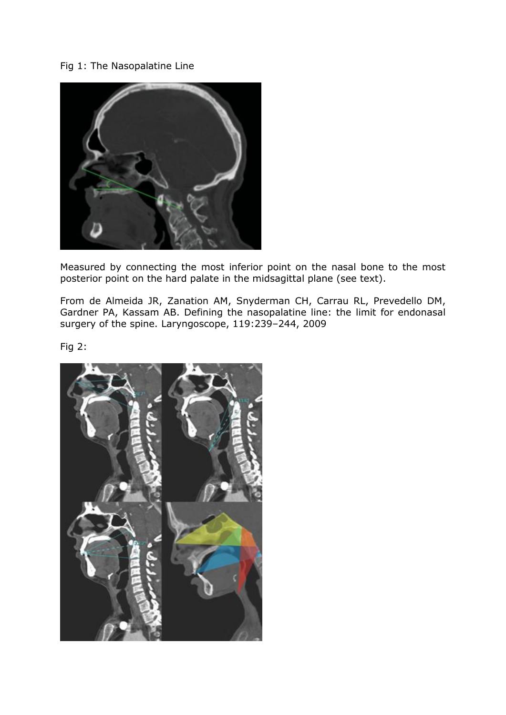## Fig 1: The Nasopalatine Line



Measured by connecting the most inferior point on the nasal bone to the most posterior point on the hard palate in the midsagittal plane (see text).

From de Almeida JR, Zanation AM, Snyderman CH, Carrau RL, Prevedello DM, Gardner PA, Kassam AB. Defining the nasopalatine line: the limit for endonasal surgery of the spine. Laryngoscope, 119:239–244, 2009

Fig 2:

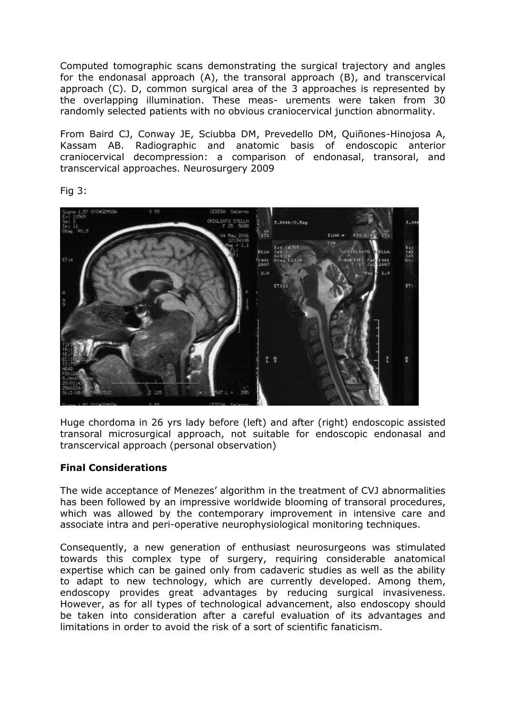Computed tomographic scans demonstrating the surgical trajectory and angles for the endonasal approach (A), the transoral approach (B), and transcervical approach (C). D, common surgical area of the 3 approaches is represented by the overlapping illumination. These meas- urements were taken from 30 randomly selected patients with no obvious craniocervical junction abnormality.

From Baird CJ, Conway JE, Sciubba DM, Prevedello DM, Quiñones-Hinojosa A, Kassam AB. Radiographic and anatomic basis of endoscopic anterior craniocervical decompression: a comparison of endonasal, transoral, and transcervical approaches. Neurosurgery 2009

Fig 3:



Huge chordoma in 26 yrs lady before (left) and after (right) endoscopic assisted transoral microsurgical approach, not suitable for endoscopic endonasal and transcervical approach (personal observation)

### **Final Considerations**

The wide acceptance of Menezes' algorithm in the treatment of CVJ abnormalities has been followed by an impressive worldwide blooming of transoral procedures, which was allowed by the contemporary improvement in intensive care and associate intra and peri-operative neurophysiological monitoring techniques.

Consequently, a new generation of enthusiast neurosurgeons was stimulated towards this complex type of surgery, requiring considerable anatomical expertise which can be gained only from cadaveric studies as well as the ability to adapt to new technology, which are currently developed. Among them, endoscopy provides great advantages by reducing surgical invasiveness. However, as for all types of technological advancement, also endoscopy should be taken into consideration after a careful evaluation of its advantages and limitations in order to avoid the risk of a sort of scientific fanaticism.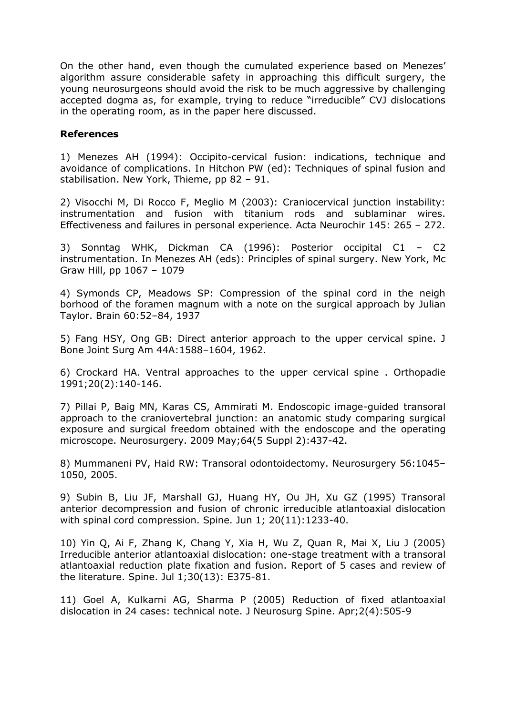On the other hand, even though the cumulated experience based on Menezes' algorithm assure considerable safety in approaching this difficult surgery, the young neurosurgeons should avoid the risk to be much aggressive by challenging accepted dogma as, for example, trying to reduce "irreducible" CVJ dislocations in the operating room, as in the paper here discussed.

#### **References**

1) Menezes AH (1994): Occipito-cervical fusion: indications, technique and avoidance of complications. In Hitchon PW (ed): Techniques of spinal fusion and stabilisation. New York, Thieme, pp 82 – 91.

2) Visocchi M, Di Rocco F, Meglio M (2003): Craniocervical junction instability: instrumentation and fusion with titanium rods and sublaminar wires. Effectiveness and failures in personal experience. Acta Neurochir 145: 265 – 272.

3) Sonntag WHK, Dickman CA (1996): Posterior occipital C1 – C2 instrumentation. In Menezes AH (eds): Principles of spinal surgery. New York, Mc Graw Hill, pp 1067 – 1079

4) Symonds CP, Meadows SP: Compression of the spinal cord in the neigh borhood of the foramen magnum with a note on the surgical approach by Julian Taylor. Brain 60:52–84, 1937

5) Fang HSY, Ong GB: Direct anterior approach to the upper cervical spine. J Bone Joint Surg Am 44A:1588–1604, 1962.

6) Crockard HA. Ventral approaches to the upper cervical spine . Orthopadie 1991;20(2):140-146.

7) Pillai P, Baig MN, Karas CS, Ammirati M. Endoscopic image-guided transoral approach to the craniovertebral junction: an anatomic study comparing surgical exposure and surgical freedom obtained with the endoscope and the operating microscope. Neurosurgery. 2009 May;64(5 Suppl 2):437-42.

8) Mummaneni PV, Haid RW: Transoral odontoidectomy. Neurosurgery 56:1045– 1050, 2005.

9) Subin B, Liu JF, Marshall GJ, Huang HY, Ou JH, Xu GZ (1995) Transoral anterior decompression and fusion of chronic irreducible atlantoaxial dislocation with spinal cord compression. Spine. Jun 1; 20(11):1233-40.

10) Yin Q, Ai F, Zhang K, Chang Y, Xia H, Wu Z, Quan R, Mai X, Liu J (2005) Irreducible anterior atlantoaxial dislocation: one-stage treatment with a transoral atlantoaxial reduction plate fixation and fusion. Report of 5 cases and review of the literature. Spine. Jul 1;30(13): E375-81.

11) Goel A, Kulkarni AG, Sharma P (2005) Reduction of fixed atlantoaxial dislocation in 24 cases: technical note. J Neurosurg Spine. Apr;2(4):505-9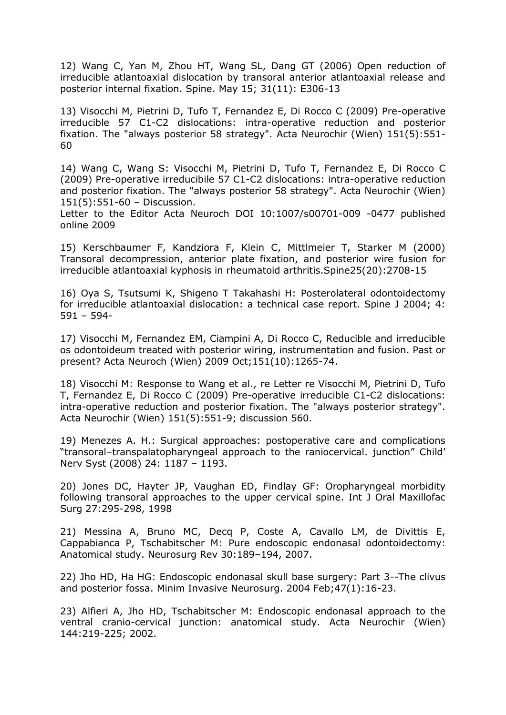12) Wang C, Yan M, Zhou HT, Wang SL, Dang GT (2006) Open reduction of irreducible atlantoaxial dislocation by transoral anterior atlantoaxial release and posterior internal fixation. Spine. May 15; 31(11): E306-13

13) Visocchi M, Pietrini D, Tufo T, Fernandez E, Di Rocco C (2009) Pre-operative irreducible 57 C1-C2 dislocations: intra-operative reduction and posterior fixation. The "always posterior 58 strategy". Acta Neurochir (Wien) 151(5):551- 60

14) Wang C, Wang S: Visocchi M, Pietrini D, Tufo T, Fernandez E, Di Rocco C (2009) Pre-operative irreducibile 57 C1-C2 dislocations: intra-operative reduction and posterior fixation. The "always posterior 58 strategy". Acta Neurochir (Wien) 151(5):551-60 – Discussion.

Letter to the Editor Acta Neuroch DOI 10:1007/s00701-009 -0477 published online 2009

15) Kerschbaumer F, Kandziora F, Klein C, Mittlmeier T, Starker M (2000) Transoral decompression, anterior plate fixation, and posterior wire fusion for irreducible atlantoaxial kyphosis in rheumatoid arthritis.Spine25(20):2708-15

16) Oya S, Tsutsumi K, Shigeno T Takahashi H: Posterolateral odontoidectomy for irreducible atlantoaxial dislocation: a technical case report. Spine J 2004; 4: 591 – 594-

17) Visocchi M, Fernandez EM, Ciampini A, Di Rocco C, Reducible and irreducible os odontoideum treated with posterior wiring, instrumentation and fusion. Past or present? Acta Neuroch (Wien) 2009 Oct;151(10):1265-74.

18) Visocchi M: Response to Wang et al., re Letter re Visocchi M, Pietrini D, Tufo T, Fernandez E, Di Rocco C (2009) Pre-operative irreducible C1-C2 dislocations: intra-operative reduction and posterior fixation. The "always posterior strategy". Acta Neurochir (Wien) 151(5):551-9; discussion 560.

19) Menezes A. H.: Surgical approaches: postoperative care and complications "transoral–transpalatopharyngeal approach to the raniocervical. junction" Child' Nerv Syst (2008) 24: 1187 – 1193.

20) Jones DC, Hayter JP, Vaughan ED, Findlay GF: Oropharyngeal morbidity following transoral approaches to the upper cervical spine. Int J Oral Maxillofac Surg 27:295-298, 1998

21) Messina A, Bruno MC, Decq P, Coste A, Cavallo LM, de Divittis E, Cappabianca P, Tschabitscher M: Pure endoscopic endonasal odontoidectomy: Anatomical study. Neurosurg Rev 30:189–194, 2007.

22) Jho HD, Ha HG: Endoscopic endonasal skull base surgery: Part 3--The clivus and posterior fossa. Minim Invasive Neurosurg. 2004 Feb;47(1):16-23.

23) Alfieri A, Jho HD, Tschabitscher M: Endoscopic endonasal approach to the ventral cranio-cervical junction: anatomical study. Acta Neurochir (Wien) 144:219-225; 2002.